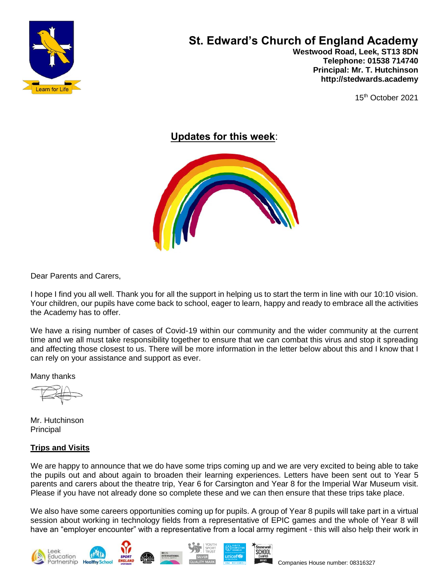

# **St. Edward's Church of England Academy**

 **Westwood Road, Leek, ST13 8DN Telephone: 01538 714740 Principal: Mr. T. Hutchinson http://stedwards.academy**

15th October 2021

**Updates for this week**:



Dear Parents and Carers,

I hope I find you all well. Thank you for all the support in helping us to start the term in line with our 10:10 vision. Your children, our pupils have come back to school, eager to learn, happy and ready to embrace all the activities the Academy has to offer.

We have a rising number of cases of Covid-19 within our community and the wider community at the current time and we all must take responsibility together to ensure that we can combat this virus and stop it spreading and affecting those closest to us. There will be more information in the letter below about this and I know that I can rely on your assistance and support as ever.

Many thanks

Mr. Hutchinson Principal

# **Trips and Visits**

We are happy to announce that we do have some trips coming up and we are very excited to being able to take the pupils out and about again to broaden their learning experiences. Letters have been sent out to Year 5 parents and carers about the theatre trip, Year 6 for Carsington and Year 8 for the Imperial War Museum visit. Please if you have not already done so complete these and we can then ensure that these trips take place.

We also have some careers opportunities coming up for pupils. A group of Year 8 pupils will take part in a virtual session about working in technology fields from a representative of EPIC games and the whole of Year 8 will have an "employer encounter" with a representative from a local army regiment - this will also help their work in









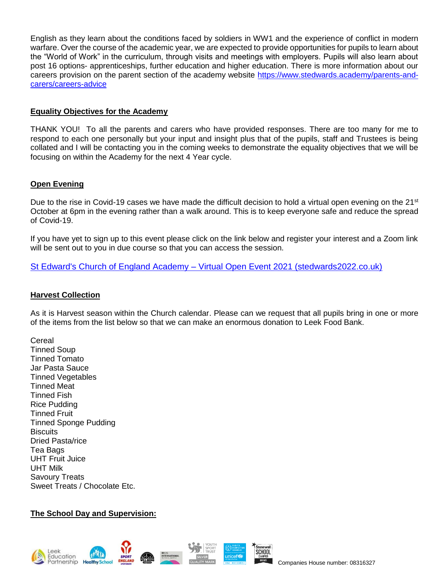English as they learn about the conditions faced by soldiers in WW1 and the experience of conflict in modern warfare. Over the course of the academic year, we are expected to provide opportunities for pupils to learn about the "World of Work" in the curriculum, through visits and meetings with employers. Pupils will also learn about post 16 options- apprenticeships, further education and higher education. There is more information about our careers provision on the parent section of the academy website [https://www.stedwards.academy/parents-and](https://www.stedwards.academy/parents-and-carers/careers-advice)[carers/careers-advice](https://www.stedwards.academy/parents-and-carers/careers-advice)

#### **Equality Objectives for the Academy**

THANK YOU! To all the parents and carers who have provided responses. There are too many for me to respond to each one personally but your input and insight plus that of the pupils, staff and Trustees is being collated and I will be contacting you in the coming weeks to demonstrate the equality objectives that we will be focusing on within the Academy for the next 4 Year cycle.

## **Open Evening**

Due to the rise in Covid-19 cases we have made the difficult decision to hold a virtual open evening on the 21<sup>st</sup> October at 6pm in the evening rather than a walk around. This is to keep everyone safe and reduce the spread of Covid-19.

If you have yet to sign up to this event please click on the link below and register your interest and a Zoom link will be sent out to you in due course so that you can access the session.

St Edward's Church of England Academy – [Virtual Open Event 2021 \(stedwards2022.co.uk\)](https://stedwards2022.co.uk/)

# **Harvest Collection**

As it is Harvest season within the Church calendar. Please can we request that all pupils bring in one or more of the items from the list below so that we can make an enormous donation to Leek Food Bank.

**Cereal** Tinned Soup Tinned Tomato Jar Pasta Sauce Tinned Vegetables Tinned Meat Tinned Fish Rice Pudding Tinned Fruit Tinned Sponge Pudding **Biscuits** Dried Pasta/rice Tea Bags UHT Fruit Juice UHT Milk Savoury Treats Sweet Treats / Chocolate Etc.

# **The School Day and Supervision:**

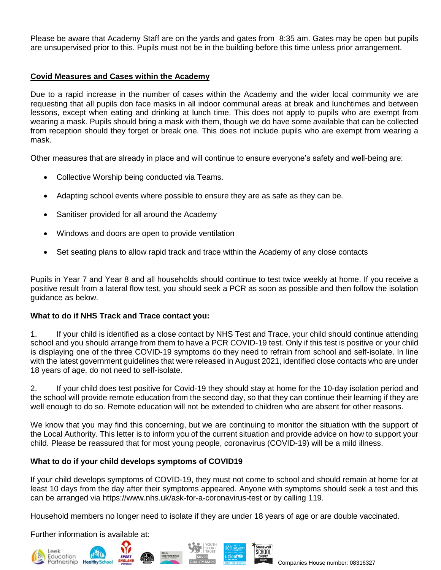Please be aware that Academy Staff are on the yards and gates from 8:35 am. Gates may be open but pupils are unsupervised prior to this. Pupils must not be in the building before this time unless prior arrangement.

## **Covid Measures and Cases within the Academy**

Due to a rapid increase in the number of cases within the Academy and the wider local community we are requesting that all pupils don face masks in all indoor communal areas at break and lunchtimes and between lessons, except when eating and drinking at lunch time. This does not apply to pupils who are exempt from wearing a mask. Pupils should bring a mask with them, though we do have some available that can be collected from reception should they forget or break one. This does not include pupils who are exempt from wearing a mask.

Other measures that are already in place and will continue to ensure everyone's safety and well-being are:

- Collective Worship being conducted via Teams.
- Adapting school events where possible to ensure they are as safe as they can be.
- Sanitiser provided for all around the Academy
- Windows and doors are open to provide ventilation
- Set seating plans to allow rapid track and trace within the Academy of any close contacts

Pupils in Year 7 and Year 8 and all households should continue to test twice weekly at home. If you receive a positive result from a lateral flow test, you should seek a PCR as soon as possible and then follow the isolation guidance as below.

#### **What to do if NHS Track and Trace contact you:**

1. If your child is identified as a close contact by NHS Test and Trace, your child should continue attending school and you should arrange from them to have a PCR COVID-19 test. Only if this test is positive or your child is displaying one of the three COVID-19 symptoms do they need to refrain from school and self-isolate. In line with the latest government guidelines that were released in August 2021, identified close contacts who are under 18 years of age, do not need to self-isolate.

2. If your child does test positive for Covid-19 they should stay at home for the 10-day isolation period and the school will provide remote education from the second day, so that they can continue their learning if they are well enough to do so. Remote education will not be extended to children who are absent for other reasons.

We know that you may find this concerning, but we are continuing to monitor the situation with the support of the Local Authority. This letter is to inform you of the current situation and provide advice on how to support your child. Please be reassured that for most young people, coronavirus (COVID-19) will be a mild illness.

#### **What to do if your child develops symptoms of COVID19**

If your child develops symptoms of COVID-19, they must not come to school and should remain at home for at least 10 days from the day after their symptoms appeared. Anyone with symptoms should seek a test and this can be arranged via https://www.nhs.uk/ask-for-a-coronavirus-test or by calling 119.

Household members no longer need to isolate if they are under 18 years of age or are double vaccinated.

Further information is available at: